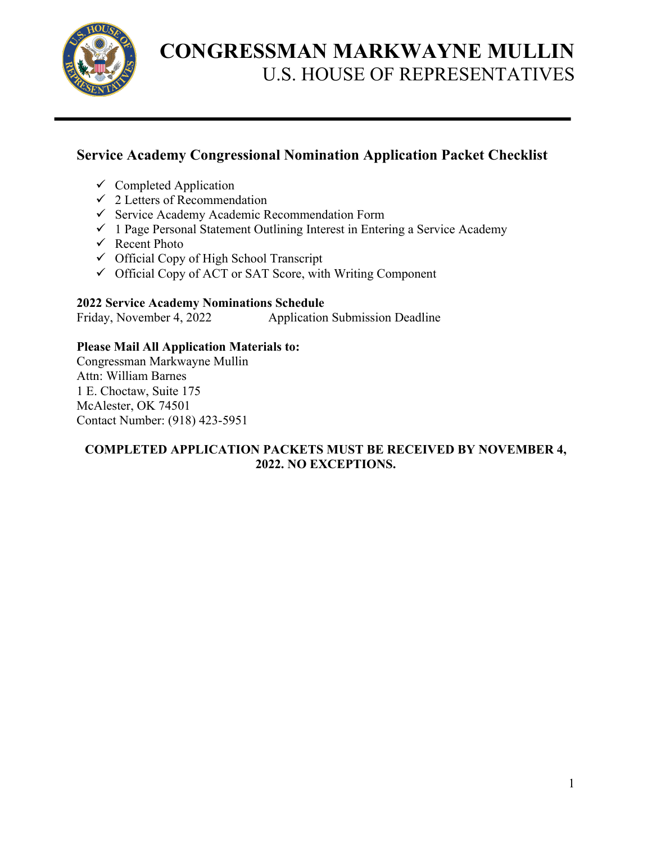

### **Service Academy Congressional Nomination Application Packet Checklist**

- $\checkmark$  Completed Application
- $\checkmark$  2 Letters of Recommendation
- $\checkmark$  Service Academy Academic Recommendation Form
- $\checkmark$  1 Page Personal Statement Outlining Interest in Entering a Service Academy
- $\checkmark$  Recent Photo
- $\checkmark$  Official Copy of High School Transcript
- $\checkmark$  Official Copy of ACT or SAT Score, with Writing Component

#### **2022 Service Academy Nominations Schedule**

Friday, November 4, 2022 Application Submission Deadline

#### **Please Mail All Application Materials to:**

Congressman Markwayne Mullin Attn: William Barnes 1 E. Choctaw, Suite 175 McAlester, OK 74501 Contact Number: (918) 423-5951

#### **COMPLETED APPLICATION PACKETS MUST BE RECEIVED BY NOVEMBER 4, 2022. NO EXCEPTIONS.**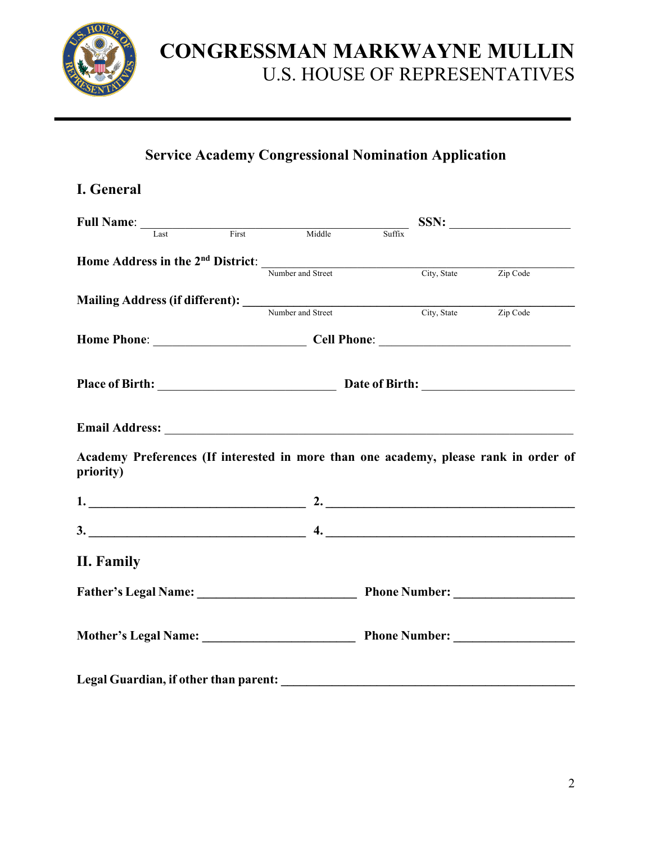

### **Service Academy Congressional Nomination Application**

| I. General                                                                                                                                                                                                                                                                                                                                          |  |  |                                   |
|-----------------------------------------------------------------------------------------------------------------------------------------------------------------------------------------------------------------------------------------------------------------------------------------------------------------------------------------------------|--|--|-----------------------------------|
| Full Name: <u>Last First</u> Middle Suffix                                                                                                                                                                                                                                                                                                          |  |  | $SSN: \underline{\qquad \qquad }$ |
|                                                                                                                                                                                                                                                                                                                                                     |  |  |                                   |
| <b>Home Address in the 2<sup>nd</sup> District:</b><br>Number and Street City, State $\overline{C}$ $\overline{C}$ $\overline{C}$ $\overline{C}$ $\overline{C}$ $\overline{C}$ $\overline{C}$ $\overline{C}$ $\overline{C}$ $\overline{C}$ $\overline{C}$ $\overline{C}$ $\overline{C}$ $\overline{C}$ $\overline{C}$ $\overline{C}$ $\overline{C}$ |  |  |                                   |
|                                                                                                                                                                                                                                                                                                                                                     |  |  |                                   |
| Mailing Address (if different): Number and Street City, State Zip Code                                                                                                                                                                                                                                                                              |  |  |                                   |
|                                                                                                                                                                                                                                                                                                                                                     |  |  |                                   |
|                                                                                                                                                                                                                                                                                                                                                     |  |  |                                   |
|                                                                                                                                                                                                                                                                                                                                                     |  |  |                                   |
|                                                                                                                                                                                                                                                                                                                                                     |  |  |                                   |
| <b>Email Address:</b> The state of the state of the state of the state of the state of the state of the state of the state of the state of the state of the state of the state of the state of the state of the state of the state<br>Academy Preferences (If interested in more than one academy, please rank in order of<br>priority)             |  |  |                                   |
| $1.$ 2.                                                                                                                                                                                                                                                                                                                                             |  |  |                                   |
| $3.$ $4.$                                                                                                                                                                                                                                                                                                                                           |  |  |                                   |
| II. Family                                                                                                                                                                                                                                                                                                                                          |  |  |                                   |
|                                                                                                                                                                                                                                                                                                                                                     |  |  |                                   |
|                                                                                                                                                                                                                                                                                                                                                     |  |  |                                   |
|                                                                                                                                                                                                                                                                                                                                                     |  |  |                                   |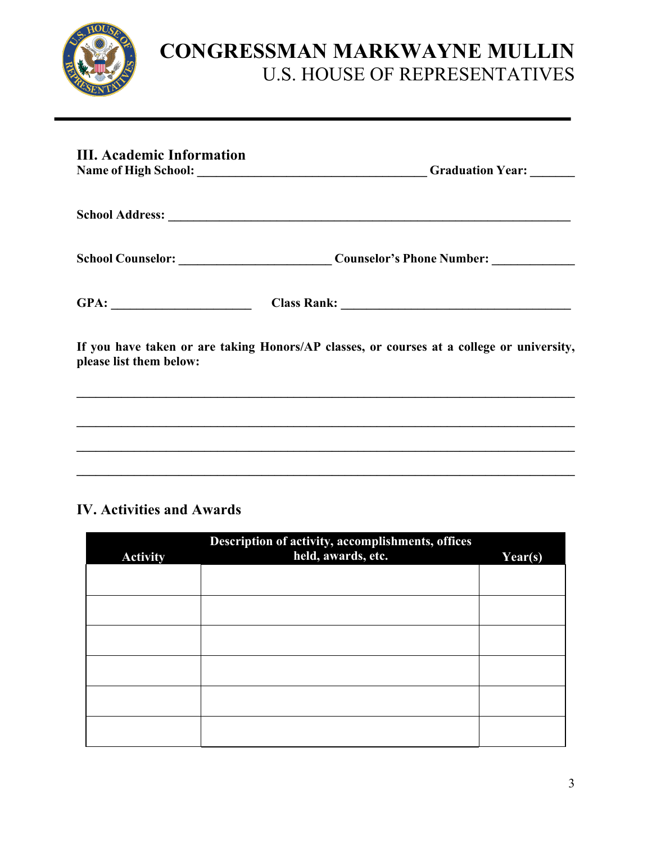

| <b>III. Academic Information</b> | Graduation Year: ______                                                                   |
|----------------------------------|-------------------------------------------------------------------------------------------|
|                                  |                                                                                           |
|                                  |                                                                                           |
|                                  |                                                                                           |
| please list them below:          | If you have taken or are taking Honors/AP classes, or courses at a college or university, |
|                                  | ,我们也不会有什么?""我们的人,我们也不会有什么?""我们的人,我们也不会有什么?""我们的人,我们也不会有什么?""我们的人,我们也不会有什么?""我们的人          |
|                                  |                                                                                           |

### **IV. Activities and Awards**

| <b>Activity</b> | Description of activity, accomplishments, offices<br>held, awards, etc. | $\overline{Year(s)}$ |
|-----------------|-------------------------------------------------------------------------|----------------------|
|                 |                                                                         |                      |
|                 |                                                                         |                      |
|                 |                                                                         |                      |
|                 |                                                                         |                      |
|                 |                                                                         |                      |
|                 |                                                                         |                      |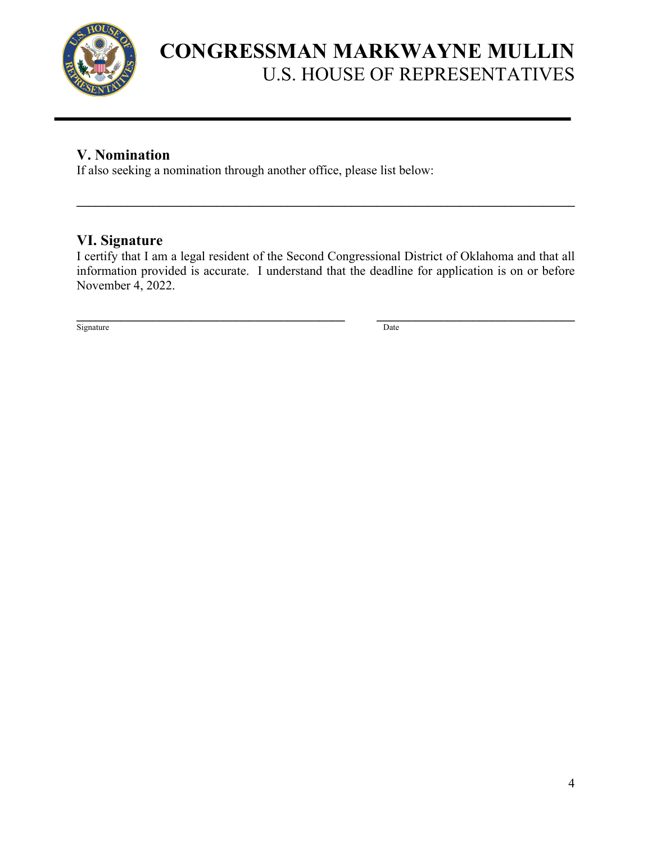

### **V. Nomination**

If also seeking a nomination through another office, please list below:

#### **VI. Signature**

I certify that I am a legal resident of the Second Congressional District of Oklahoma and that all information provided is accurate. I understand that the deadline for application is on or before November 4, 2022.

 $\mathcal{L}_\mathcal{L} = \{ \mathcal{L}_\mathcal{L} = \{ \mathcal{L}_\mathcal{L} = \{ \mathcal{L}_\mathcal{L} = \{ \mathcal{L}_\mathcal{L} = \{ \mathcal{L}_\mathcal{L} = \{ \mathcal{L}_\mathcal{L} = \{ \mathcal{L}_\mathcal{L} = \{ \mathcal{L}_\mathcal{L} = \{ \mathcal{L}_\mathcal{L} = \{ \mathcal{L}_\mathcal{L} = \{ \mathcal{L}_\mathcal{L} = \{ \mathcal{L}_\mathcal{L} = \{ \mathcal{L}_\mathcal{L} = \{ \mathcal{L}_\mathcal{$ 

**\_\_\_\_\_\_\_\_\_\_\_\_\_\_\_\_\_\_\_\_\_\_\_\_\_\_\_\_\_\_\_\_\_\_\_\_\_\_\_\_\_\_ \_\_\_\_\_\_\_\_\_\_\_\_\_\_\_\_\_\_\_\_\_\_\_\_\_\_\_\_\_\_\_** Signature Date